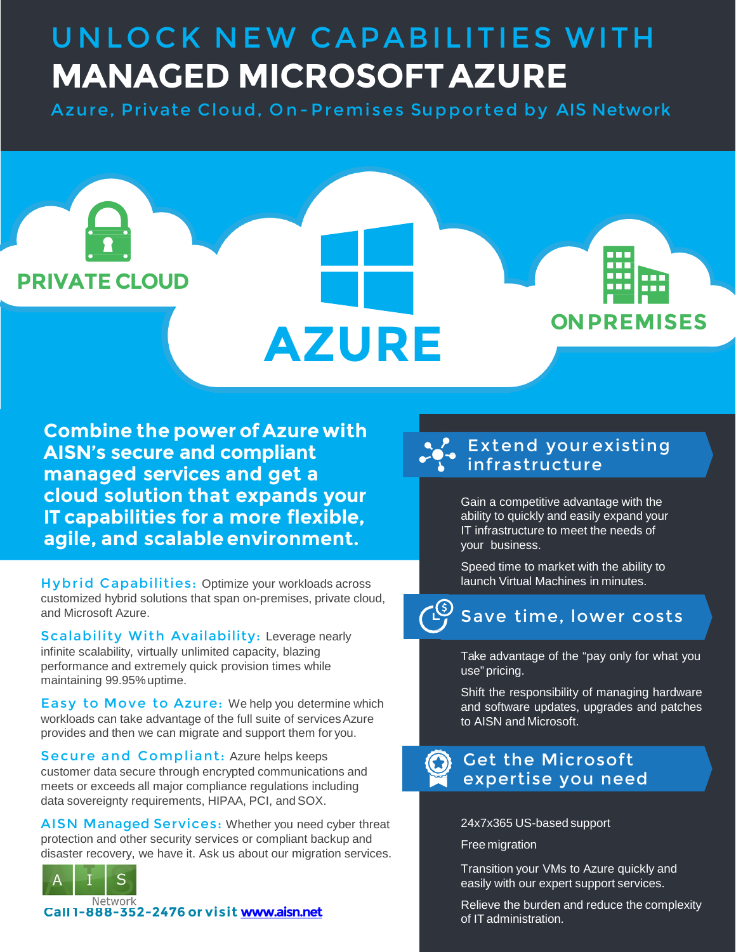# UNLOCK NEW CAPABILITIES WITH **MANAGED MICROSOFTAZURE**

Azure, Private Cloud, On-Premises Supported by AIS Network



**Combine the power of Azure with AISN's secure and compliant managed services and get a cloud solution that expands your IT capabilities for a more flexible, agile, and scalable environment.**

Hybrid Capabilities: Optimize your workloads across customized hybrid solutions that span on-premises, private cloud, and Microsoft Azure.

Scalability With Availability: Leverage nearly infinite scalability, virtually unlimited capacity, blazing performance and extremely quick provision times while maintaining 99.95%uptime.

Easy to Move to Azure: We help you determine which workloads can take advantage of the full suite of services Azure provides and then we can migrate and support them for you.

Secure and Compliant: Azure helps keeps customer data secure through encrypted communications and meets or exceeds all major compliance regulations including data sovereignty requirements, HIPAA, PCI, and SOX.

AISN Managed Services: Whether you need cyber threat protection and other security services or compliant backup and disaster recovery, we have it. Ask us about our migration services.



of IT administration. **Call 1-888-352-2476 or visit [www.aisn.net](http://www.aisn.net/)**

### Extend your existing infrastructure

Gain a competitive advantage with the ability to quickly and easily expand your IT infrastructure to meet the needs of your business.

Speed time to market with the ability to launch Virtual Machines in minutes.

#### <u>(۶)</u>-Save time, lower costs

Take advantage of the "pay only for what you use" pricing.

Shift the responsibility of managing hardware and software updates, upgrades and patches to AISN and Microsoft.

### Get the Microsoft expertise you need

24x7x365 US-based support

#### Free migration

Transition your VMs to Azure quickly and easily with our expert support services.

Relieve the burden and reduce the complexity